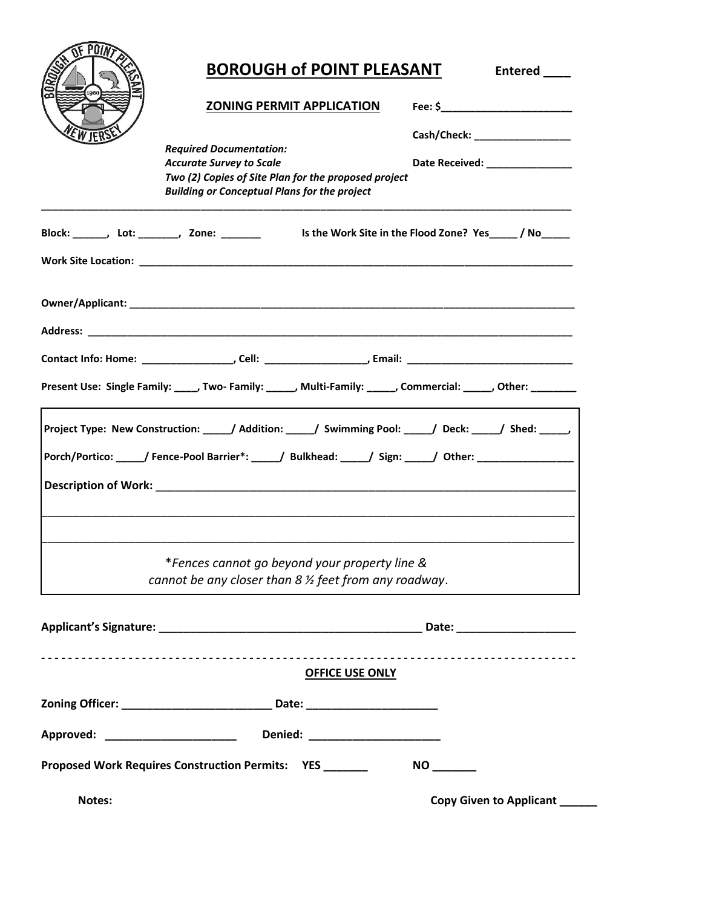|                                             | <b>BOROUGH of POINT PLEASANT</b>                                                                                                                                                                            | <b>Entered</b>                                                      |
|---------------------------------------------|-------------------------------------------------------------------------------------------------------------------------------------------------------------------------------------------------------------|---------------------------------------------------------------------|
|                                             | <b>ZONING PERMIT APPLICATION</b>                                                                                                                                                                            |                                                                     |
|                                             | <b>Required Documentation:</b><br><b>Accurate Survey to Scale</b><br>Two (2) Copies of Site Plan for the proposed project<br><b>Building or Conceptual Plans for the project</b>                            | Cash/Check: ____________________<br>Date Received: ________________ |
| Block: _______, Lot: _______, Zone: _______ |                                                                                                                                                                                                             | Is the Work Site in the Flood Zone? Yes ________ / No_______        |
|                                             |                                                                                                                                                                                                             |                                                                     |
|                                             | Present Use: Single Family: ____, Two- Family: _____, Multi-Family: _____, Commercial: _____, Other: ________                                                                                               |                                                                     |
|                                             | Project Type: New Construction: ____/ Addition: ____/ Swimming Pool: ____/ Deck: ____/ Shed: _____/<br>Porch/Portico: ______/ Fence-Pool Barrier*: _____/ Bulkhead: _____/ Sign: _____/ Other: ____________ |                                                                     |
|                                             | *Fences cannot go beyond your property line &<br>cannot be any closer than $8 \frac{1}{2}$ feet from any roadway.                                                                                           |                                                                     |
|                                             |                                                                                                                                                                                                             |                                                                     |
|                                             | <b>OFFICE USE ONLY</b>                                                                                                                                                                                      |                                                                     |
|                                             | Zoning Officer: _____________________________ Date: ____________________________                                                                                                                            |                                                                     |
|                                             |                                                                                                                                                                                                             |                                                                     |
|                                             | Proposed Work Requires Construction Permits: YES ______                                                                                                                                                     |                                                                     |
| Notes:                                      |                                                                                                                                                                                                             | Copy Given to Applicant _____                                       |